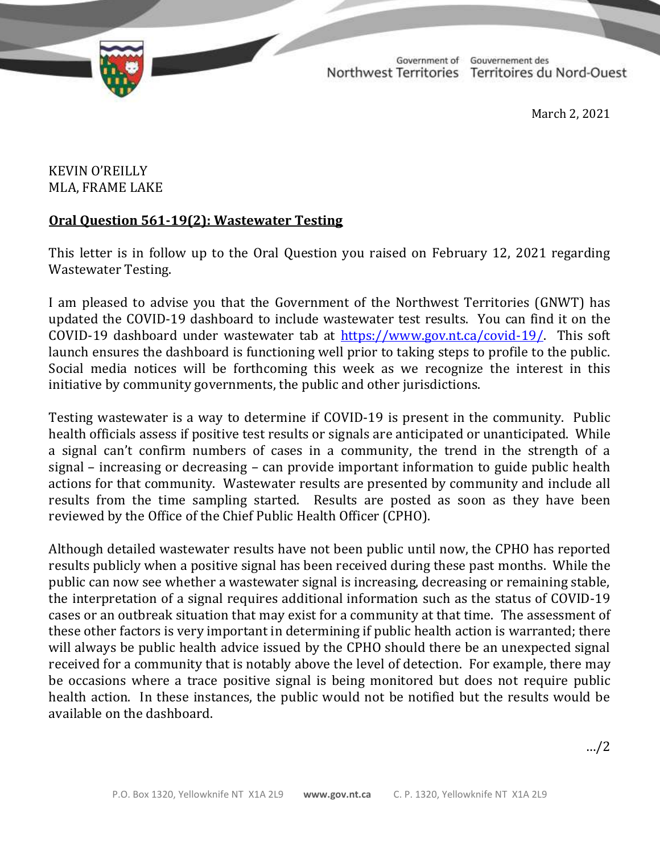TD 339-19(2) TABLED ON MARCH 3, 2021

Government of Gouvernement des Northwest Territories Territoires du Nord-Ouest

March 2, 2021

## KEVIN O'REILLY MLA, FRAME LAKE

## **Oral Question 561-19(2): Wastewater Testing**

This letter is in follow up to the Oral Question you raised on February 12, 2021 regarding Wastewater Testing.

I am pleased to advise you that the Government of the Northwest Territories (GNWT) has updated the COVID-19 dashboard to include wastewater test results. You can find it on the COVID-19 dashboard under wastewater tab at [https://www.gov.nt.ca/covid-19/.](https://www.gov.nt.ca/covid-19/) This soft launch ensures the dashboard is functioning well prior to taking steps to profile to the public. Social media notices will be forthcoming this week as we recognize the interest in this initiative by community governments, the public and other jurisdictions.

Testing wastewater is a way to determine if COVID-19 is present in the community. Public health officials assess if positive test results or signals are anticipated or unanticipated. While a signal can't confirm numbers of cases in a community, the trend in the strength of a signal – increasing or decreasing – can provide important information to guide public health actions for that community. Wastewater results are presented by community and include all results from the time sampling started. Results are posted as soon as they have been reviewed by the Office of the Chief Public Health Officer (CPHO).

Although detailed wastewater results have not been public until now, the CPHO has reported results publicly when a positive signal has been received during these past months. While the public can now see whether a wastewater signal is increasing, decreasing or remaining stable, the interpretation of a signal requires additional information such as the status of COVID-19 cases or an outbreak situation that may exist for a community at that time. The assessment of these other factors is very important in determining if public health action is warranted; there will always be public health advice issued by the CPHO should there be an unexpected signal received for a community that is notably above the level of detection. For example, there may be occasions where a trace positive signal is being monitored but does not require public health action. In these instances, the public would not be notified but the results would be available on the dashboard.

…/2